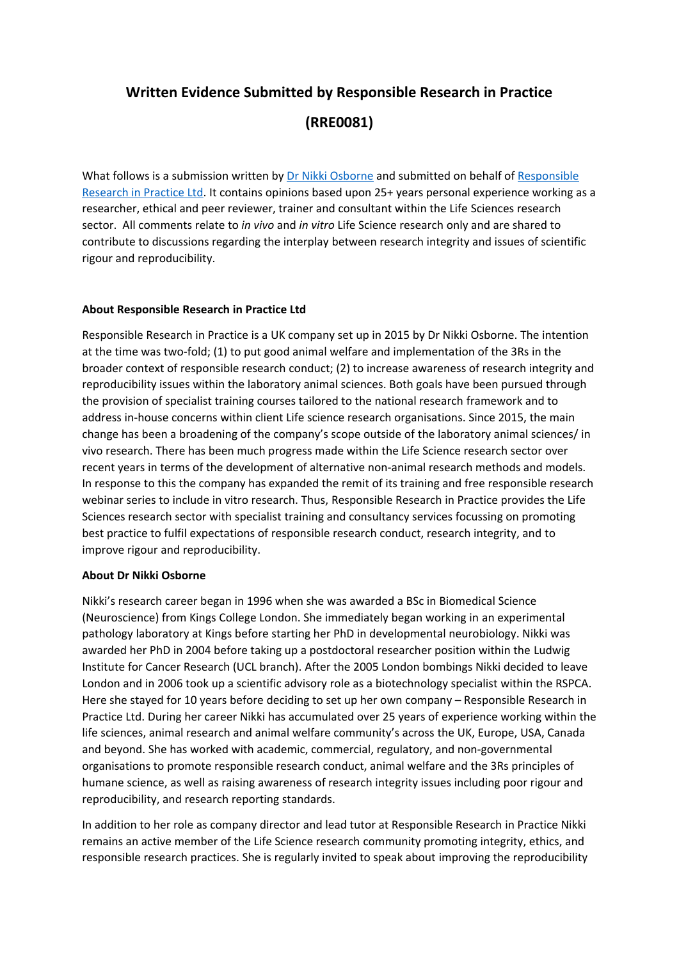# **Written Evidence Submitted by Responsible Research in Practice (RRE0081)**

What follows is a submission written by [Dr](http://www.linkedin.com/in/nikki-osborne-bioscience-trainer-consultant) [Nikki](http://www.linkedin.com/in/nikki-osborne-bioscience-trainer-consultant) [Osborne](http://www.linkedin.com/in/nikki-osborne-bioscience-trainer-consultant) and submitted on behalf of [Responsible](https://www.responsibleresearchinpractice.co.uk/) [Research](https://www.responsibleresearchinpractice.co.uk/) [in](https://www.responsibleresearchinpractice.co.uk/) [Practice](https://www.responsibleresearchinpractice.co.uk/) [Ltd](https://www.responsibleresearchinpractice.co.uk/). It contains opinions based upon 25+ years personal experience working as a researcher, ethical and peer reviewer, trainer and consultant within the Life Sciences research sector. All comments relate to *in vivo* and *in vitro* Life Science research only and are shared to contribute to discussions regarding the interplay between research integrity and issues of scientific rigour and reproducibility.

# **About Responsible Research in Practice Ltd**

Responsible Research in Practice is a UK company set up in 2015 by Dr Nikki Osborne. The intention at the time was two-fold; (1) to put good animal welfare and implementation of the 3Rs in the broader context of responsible research conduct; (2) to increase awareness of research integrity and reproducibility issues within the laboratory animal sciences. Both goals have been pursued through the provision of specialist training courses tailored to the national research framework and to address in-house concerns within client Life science research organisations. Since 2015, the main change has been a broadening of the company's scope outside of the laboratory animal sciences/ in vivo research. There has been much progress made within the Life Science research sector over recent years in terms of the development of alternative non-animal research methods and models. In response to this the company has expanded the remit of its training and free responsible research webinar series to include in vitro research. Thus, Responsible Research in Practice provides the Life Sciences research sector with specialist training and consultancy services focussing on promoting best practice to fulfil expectations of responsible research conduct, research integrity, and to improve rigour and reproducibility.

# **About Dr Nikki Osborne**

Nikki's research career began in 1996 when she was awarded a BSc in Biomedical Science (Neuroscience) from Kings College London. She immediately began working in an experimental pathology laboratory at Kings before starting her PhD in developmental neurobiology. Nikki was awarded her PhD in 2004 before taking up a postdoctoral researcher position within the Ludwig Institute for Cancer Research (UCL branch). After the 2005 London bombings Nikki decided to leave London and in 2006 took up a scientific advisory role as a biotechnology specialist within the RSPCA. Here she stayed for 10 years before deciding to set up her own company – Responsible Research in Practice Ltd. During her career Nikki has accumulated over 25 years of experience working within the life sciences, animal research and animal welfare community's across the UK, Europe, USA, Canada and beyond. She has worked with academic, commercial, regulatory, and non-governmental organisations to promote responsible research conduct, animal welfare and the 3Rs principles of humane science, as well as raising awareness of research integrity issues including poor rigour and reproducibility, and research reporting standards.

In addition to her role as company director and lead tutor at Responsible Research in Practice Nikki remains an active member of the Life Science research community promoting integrity, ethics, and responsible research practices. She is regularly invited to speak about improving the reproducibility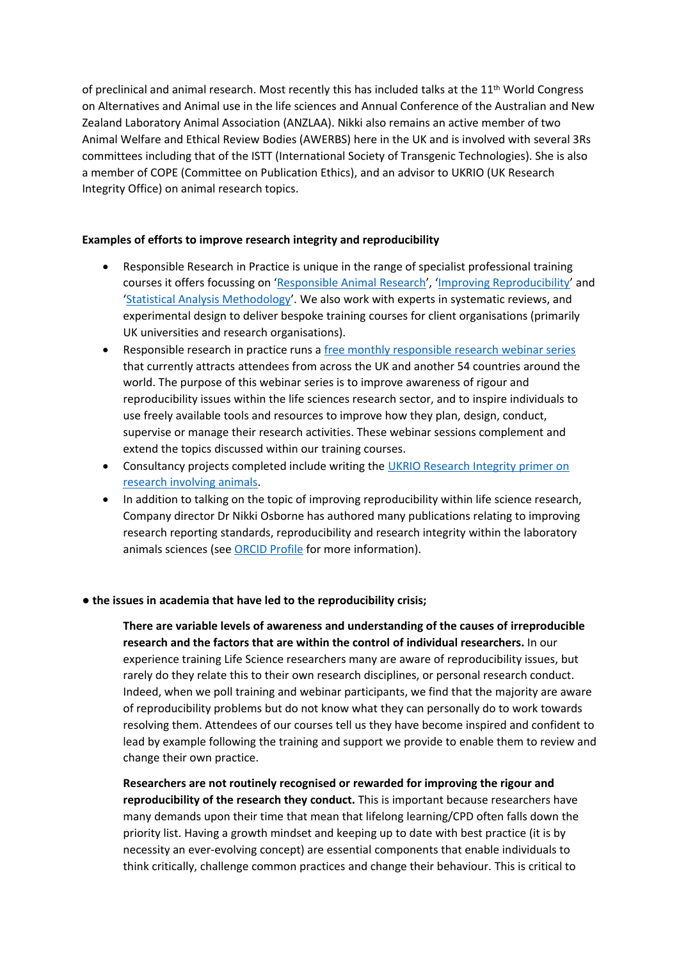of preclinical and animal research. Most recently this has included talks at the 11th World Congress on Alternatives and Animal use in the life sciences and Annual Conference of the Australian and New Zealand Laboratory Animal Association (ANZLAA). Nikki also remains an active member of two Animal Welfare and Ethical Review Bodies (AWERBS) here in the UK and is involved with several 3Rs committees including that of the ISTT (International Society of Transgenic Technologies). She is also a member of COPE (Committee on Publication Ethics), and an advisor to UKRIO (UK Research Integrity Office) on animal research topics.

# **Examples of efforts to improve research integrity and reproducibility**

- Responsible Research in Practice is unique in the range of specialist professional training courses it offers focussing on '[Responsible](https://www.responsibleresearchinpractice.co.uk/responsible-animal-research-training/) [Animal](https://www.responsibleresearchinpractice.co.uk/responsible-animal-research-training/) [Research'](https://www.responsibleresearchinpractice.co.uk/responsible-animal-research-training/), ['Improving](https://www.responsibleresearchinpractice.co.uk/improving-reproducibility-training/) [Reproducibility'](https://www.responsibleresearchinpractice.co.uk/improving-reproducibility-training/) and '[Statistical](https://www.responsibleresearchinpractice.co.uk/statistical-analysis-training/) [Analysis](https://www.responsibleresearchinpractice.co.uk/statistical-analysis-training/) [Methodology'](https://www.responsibleresearchinpractice.co.uk/statistical-analysis-training/). We also work with experts in systematic reviews, and experimental design to deliver bespoke training courses for client organisations (primarily UK universities and research organisations).
- Responsible research in practice runs a [free](https://www.responsibleresearchinpractice.co.uk/webinars/) [monthly](https://www.responsibleresearchinpractice.co.uk/webinars/) [responsible](https://www.responsibleresearchinpractice.co.uk/webinars/) [research](https://www.responsibleresearchinpractice.co.uk/webinars/) [webinar](https://www.responsibleresearchinpractice.co.uk/webinars/) [series](https://www.responsibleresearchinpractice.co.uk/webinars/) that currently attracts attendees from across the UK and another 54 countries around the world. The purpose of this webinar series is to improve awareness of rigour and reproducibility issues within the life sciences research sector, and to inspire individuals to use freely available tools and resources to improve how they plan, design, conduct, supervise or manage their research activities. These webinar sessions complement and extend the topics discussed within our training courses.
- Consultancy projects completed include writing the [UKRIO](https://ukrio.org/wp-content/uploads/UKRIO-Research-Integrity-A-primer-on-research-involving-animals-V2.0.pdf) [Research](https://ukrio.org/wp-content/uploads/UKRIO-Research-Integrity-A-primer-on-research-involving-animals-V2.0.pdf) [Integrity](https://ukrio.org/wp-content/uploads/UKRIO-Research-Integrity-A-primer-on-research-involving-animals-V2.0.pdf) [primer](https://ukrio.org/wp-content/uploads/UKRIO-Research-Integrity-A-primer-on-research-involving-animals-V2.0.pdf) [on](https://ukrio.org/wp-content/uploads/UKRIO-Research-Integrity-A-primer-on-research-involving-animals-V2.0.pdf) [research](https://ukrio.org/wp-content/uploads/UKRIO-Research-Integrity-A-primer-on-research-involving-animals-V2.0.pdf) [involving](https://ukrio.org/wp-content/uploads/UKRIO-Research-Integrity-A-primer-on-research-involving-animals-V2.0.pdf) [animals.](https://ukrio.org/wp-content/uploads/UKRIO-Research-Integrity-A-primer-on-research-involving-animals-V2.0.pdf)
- In addition to talking on the topic of improving reproducibility within life science research, Company director Dr Nikki Osborne has authored many publications relating to improving research reporting standards, reproducibility and research integrity within the laboratory animals sciences (see [ORCID](https://orcid.org/0000-0001-9137-6596) [Profile](https://orcid.org/0000-0001-9137-6596) for more information).

# **● the issues in academia that have led to the reproducibility crisis;**

**There are variable levels of awareness and understanding of the causes of irreproducible research and the factors that are within the control of individual researchers.** In our experience training Life Science researchers many are aware of reproducibility issues, but rarely do they relate this to their own research disciplines, or personal research conduct. Indeed, when we poll training and webinar participants, we find that the majority are aware of reproducibility problems but do not know what they can personally do to work towards resolving them. Attendees of our courses tell us they have become inspired and confident to lead by example following the training and support we provide to enable them to review and change their own practice.

**Researchers are not routinely recognised or rewarded for improving the rigour and reproducibility of the research they conduct.** This is important because researchers have many demands upon their time that mean that lifelong learning/CPD often falls down the priority list. Having a growth mindset and keeping up to date with best practice (it is by necessity an ever-evolving concept) are essential components that enable individuals to think critically, challenge common practices and change their behaviour. This is critical to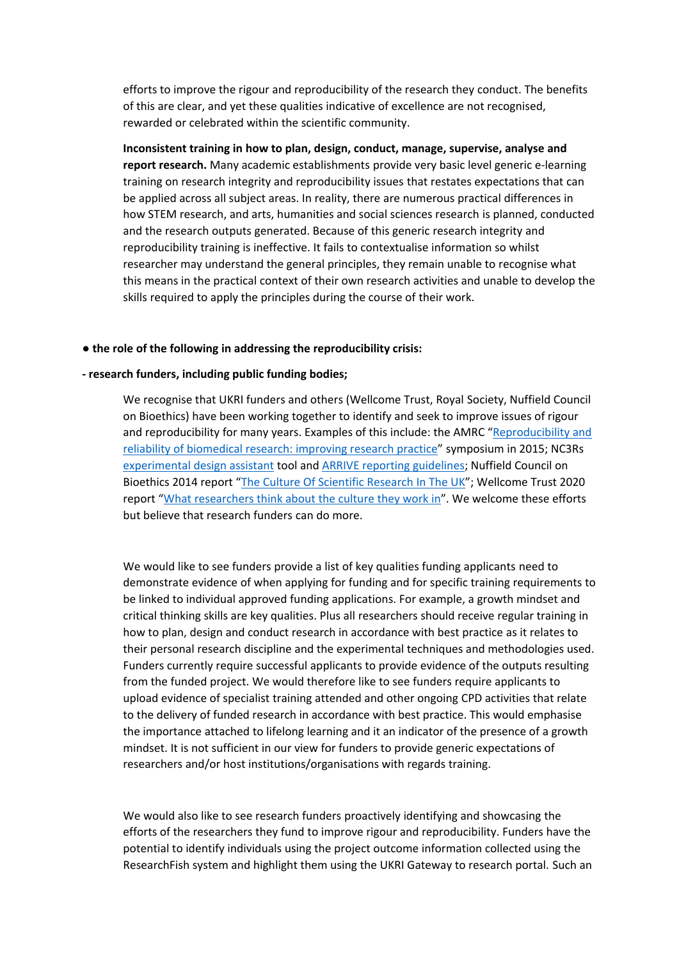efforts to improve the rigour and reproducibility of the research they conduct. The benefits of this are clear, and yet these qualities indicative of excellence are not recognised, rewarded or celebrated within the scientific community.

**Inconsistent training in how to plan, design, conduct, manage, supervise, analyse and report research.** Many academic establishments provide very basic level generic e-learning training on research integrity and reproducibility issues that restates expectations that can be applied across all subject areas. In reality, there are numerous practical differences in how STEM research, and arts, humanities and social sciences research is planned, conducted and the research outputs generated. Because of this generic research integrity and reproducibility training is ineffective. It fails to contextualise information so whilst researcher may understand the general principles, they remain unable to recognise what this means in the practical context of their own research activities and unable to develop the skills required to apply the principles during the course of their work.

#### **● the role of the following in addressing the reproducibility crisis:**

#### **- research funders, including public funding bodies;**

We recognise that UKRI funders and others (Wellcome Trust, Royal Society, Nuffield Council on Bioethics) have been working together to identify and seek to improve issues of rigour and reproducibility for many years. Examples of this include: the AMRC ["Reproducibility](https://acmedsci.ac.uk/policy/policy-projects/reproducibility-and-reliability-of-biomedical-research) [and](https://acmedsci.ac.uk/policy/policy-projects/reproducibility-and-reliability-of-biomedical-research) [reliability](https://acmedsci.ac.uk/policy/policy-projects/reproducibility-and-reliability-of-biomedical-research) [of](https://acmedsci.ac.uk/policy/policy-projects/reproducibility-and-reliability-of-biomedical-research) [biomedical](https://acmedsci.ac.uk/policy/policy-projects/reproducibility-and-reliability-of-biomedical-research) [research:](https://acmedsci.ac.uk/policy/policy-projects/reproducibility-and-reliability-of-biomedical-research) [improving](https://acmedsci.ac.uk/policy/policy-projects/reproducibility-and-reliability-of-biomedical-research) [research](https://acmedsci.ac.uk/policy/policy-projects/reproducibility-and-reliability-of-biomedical-research) [practice"](https://acmedsci.ac.uk/policy/policy-projects/reproducibility-and-reliability-of-biomedical-research) symposium in 2015; NC3Rs [experimental](https://eda.nc3rs.org.uk/about) [design](https://eda.nc3rs.org.uk/about) [assistant](https://eda.nc3rs.org.uk/about) tool and [ARRIVE](https://arriveguidelines.org/) [reporting](https://arriveguidelines.org/) [guidelines](https://arriveguidelines.org/); Nuffield Council on Bioethics 2014 report ["The](https://www.nuffieldbioethics.org/publications/the-culture-of-scientific-research) [Culture](https://www.nuffieldbioethics.org/publications/the-culture-of-scientific-research) [Of](https://www.nuffieldbioethics.org/publications/the-culture-of-scientific-research) [Scientific](https://www.nuffieldbioethics.org/publications/the-culture-of-scientific-research) [Research](https://www.nuffieldbioethics.org/publications/the-culture-of-scientific-research) [In](https://www.nuffieldbioethics.org/publications/the-culture-of-scientific-research) [The](https://www.nuffieldbioethics.org/publications/the-culture-of-scientific-research) [UK](https://www.nuffieldbioethics.org/publications/the-culture-of-scientific-research)"; Wellcome Trust 2020 report ["What](https://wellcome.org/reports/what-researchers-think-about-research-culture) [researchers](https://wellcome.org/reports/what-researchers-think-about-research-culture) [think](https://wellcome.org/reports/what-researchers-think-about-research-culture) [about](https://wellcome.org/reports/what-researchers-think-about-research-culture) [the](https://wellcome.org/reports/what-researchers-think-about-research-culture) [culture](https://wellcome.org/reports/what-researchers-think-about-research-culture) [they](https://wellcome.org/reports/what-researchers-think-about-research-culture) [work](https://wellcome.org/reports/what-researchers-think-about-research-culture) [in"](https://wellcome.org/reports/what-researchers-think-about-research-culture). We welcome these efforts but believe that research funders can do more.

We would like to see funders provide a list of key qualities funding applicants need to demonstrate evidence of when applying for funding and for specific training requirements to be linked to individual approved funding applications. For example, a growth mindset and critical thinking skills are key qualities. Plus all researchers should receive regular training in how to plan, design and conduct research in accordance with best practice as it relates to their personal research discipline and the experimental techniques and methodologies used. Funders currently require successful applicants to provide evidence of the outputs resulting from the funded project. We would therefore like to see funders require applicants to upload evidence of specialist training attended and other ongoing CPD activities that relate to the delivery of funded research in accordance with best practice. This would emphasise the importance attached to lifelong learning and it an indicator of the presence of a growth mindset. It is not sufficient in our view for funders to provide generic expectations of researchers and/or host institutions/organisations with regards training.

We would also like to see research funders proactively identifying and showcasing the efforts of the researchers they fund to improve rigour and reproducibility. Funders have the potential to identify individuals using the project outcome information collected using the ResearchFish system and highlight them using the UKRI Gateway to research portal. Such an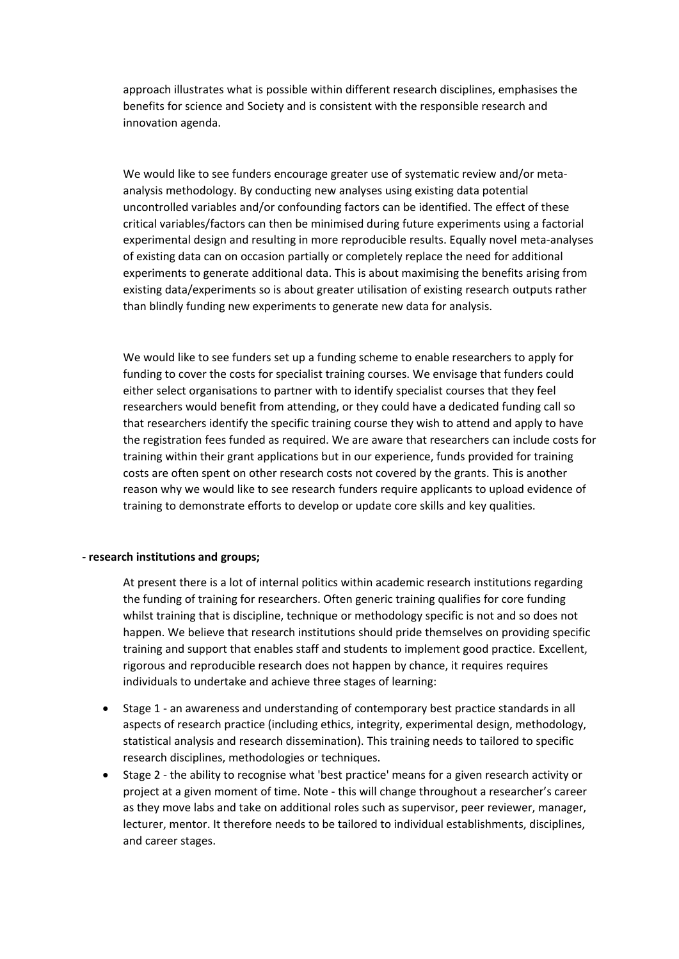approach illustrates what is possible within different research disciplines, emphasises the benefits for science and Society and is consistent with the responsible research and innovation agenda.

We would like to see funders encourage greater use of systematic review and/or metaanalysis methodology. By conducting new analyses using existing data potential uncontrolled variables and/or confounding factors can be identified. The effect of these critical variables/factors can then be minimised during future experiments using a factorial experimental design and resulting in more reproducible results. Equally novel meta-analyses of existing data can on occasion partially or completely replace the need for additional experiments to generate additional data. This is about maximising the benefits arising from existing data/experiments so is about greater utilisation of existing research outputs rather than blindly funding new experiments to generate new data for analysis.

We would like to see funders set up a funding scheme to enable researchers to apply for funding to cover the costs for specialist training courses. We envisage that funders could either select organisations to partner with to identify specialist courses that they feel researchers would benefit from attending, or they could have a dedicated funding call so that researchers identify the specific training course they wish to attend and apply to have the registration fees funded as required. We are aware that researchers can include costs for training within their grant applications but in our experience, funds provided for training costs are often spent on other research costs not covered by the grants. This is another reason why we would like to see research funders require applicants to upload evidence of training to demonstrate efforts to develop or update core skills and key qualities.

#### **- research institutions and groups;**

At present there is a lot of internal politics within academic research institutions regarding the funding of training for researchers. Often generic training qualifies for core funding whilst training that is discipline, technique or methodology specific is not and so does not happen. We believe that research institutions should pride themselves on providing specific training and support that enables staff and students to implement good practice. Excellent, rigorous and reproducible research does not happen by chance, it requires requires individuals to undertake and achieve three stages of learning:

- Stage 1 an awareness and understanding of contemporary best practice standards in all aspects of research practice (including ethics, integrity, experimental design, methodology, statistical analysis and research dissemination). This training needs to tailored to specific research disciplines, methodologies or techniques.
- Stage 2 the ability to recognise what 'best practice' means for a given research activity or project at a given moment of time. Note - this will change throughout a researcher's career as they move labs and take on additional roles such as supervisor, peer reviewer, manager, lecturer, mentor. It therefore needs to be tailored to individual establishments, disciplines, and career stages.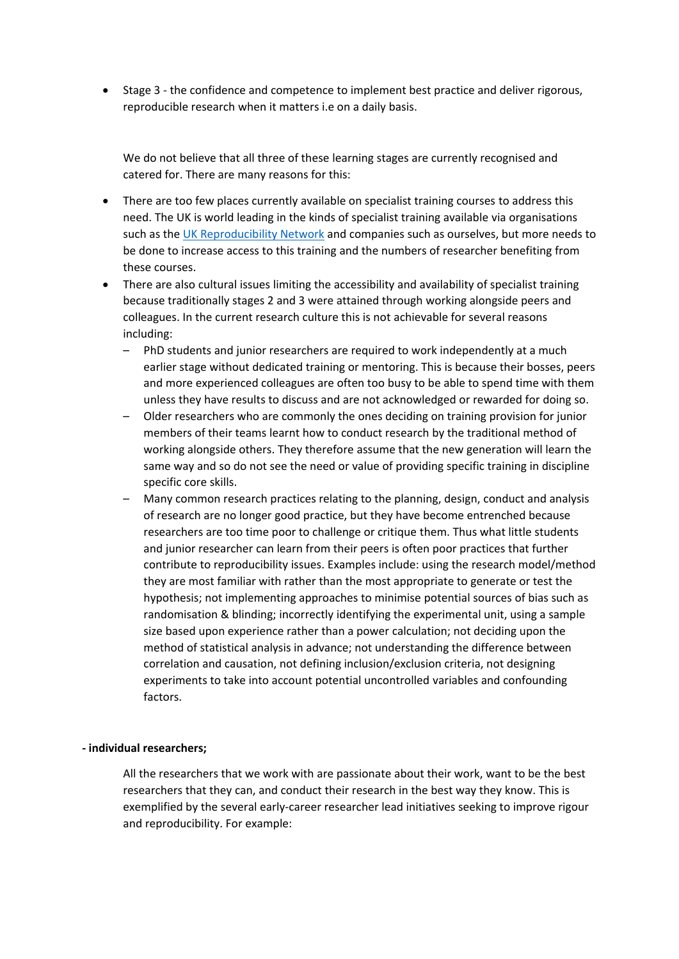Stage 3 - the confidence and competence to implement best practice and deliver rigorous, reproducible research when it matters i.e on a daily basis.

We do not believe that all three of these learning stages are currently recognised and catered for. There are many reasons for this:

- There are too few places currently available on specialist training courses to address this need. The UK is world leading in the kinds of specialist training available via organisations such as the [UK](https://www.ukrn.org/) [Reproducibility](https://www.ukrn.org/) [Network](https://www.ukrn.org/) and companies such as ourselves, but more needs to be done to increase access to this training and the numbers of researcher benefiting from these courses.
- There are also cultural issues limiting the accessibility and availability of specialist training because traditionally stages 2 and 3 were attained through working alongside peers and colleagues. In the current research culture this is not achievable for several reasons including:
	- PhD students and junior researchers are required to work independently at a much earlier stage without dedicated training or mentoring. This is because their bosses, peers and more experienced colleagues are often too busy to be able to spend time with them unless they have results to discuss and are not acknowledged or rewarded for doing so.
	- Older researchers who are commonly the ones deciding on training provision for junior members of their teams learnt how to conduct research by the traditional method of working alongside others. They therefore assume that the new generation will learn the same way and so do not see the need or value of providing specific training in discipline specific core skills.
	- Many common research practices relating to the planning, design, conduct and analysis of research are no longer good practice, but they have become entrenched because researchers are too time poor to challenge or critique them. Thus what little students and junior researcher can learn from their peers is often poor practices that further contribute to reproducibility issues. Examples include: using the research model/method they are most familiar with rather than the most appropriate to generate or test the hypothesis; not implementing approaches to minimise potential sources of bias such as randomisation & blinding; incorrectly identifying the experimental unit, using a sample size based upon experience rather than a power calculation; not deciding upon the method of statistical analysis in advance; not understanding the difference between correlation and causation, not defining inclusion/exclusion criteria, not designing experiments to take into account potential uncontrolled variables and confounding factors.

# **- individual researchers;**

All the researchers that we work with are passionate about their work, want to be the best researchers that they can, and conduct their research in the best way they know. This is exemplified by the several early-career researcher lead initiatives seeking to improve rigour and reproducibility. For example: